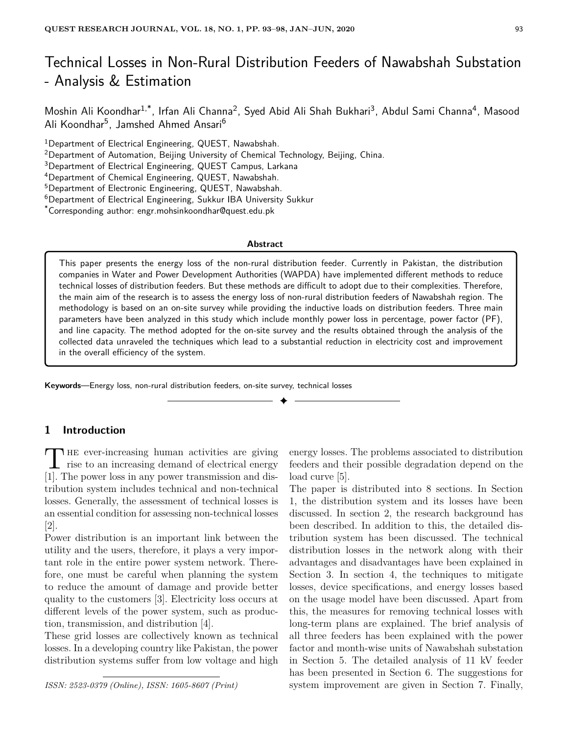# Technical Losses in Non-Rural Distribution Feeders of Nawabshah Substation - Analysis & Estimation

Moshin Ali Koondhar<sup>1,\*</sup>, Irfan Ali Channa<sup>2</sup>, Syed Abid Ali Shah Bukhari<sup>3</sup>, Abdul Sami Channa<sup>4</sup>, Masood Ali Koondhar<sup>5</sup>, Jamshed Ahmed Ansari<sup>6</sup>

<sup>1</sup>Department of Electrical Engineering, QUEST, Nawabshah.

<sup>2</sup>Department of Automation, Beijing University of Chemical Technology, Beijing, China.

<sup>3</sup>Department of Electrical Engineering, QUEST Campus, Larkana

<sup>4</sup>Department of Chemical Engineering, QUEST, Nawabshah.

<sup>5</sup>Department of Electronic Engineering, QUEST, Nawabshah.

<sup>6</sup>Department of Electrical Engineering, Sukkur IBA University Sukkur

\*Corresponding author: engr.mohsinkoondhar@quest.edu.pk

#### **Abstract**

This paper presents the energy loss of the non-rural distribution feeder. Currently in Pakistan, the distribution companies in Water and Power Development Authorities (WAPDA) have implemented different methods to reduce technical losses of distribution feeders. But these methods are difficult to adopt due to their complexities. Therefore, the main aim of the research is to assess the energy loss of non-rural distribution feeders of Nawabshah region. The methodology is based on an on-site survey while providing the inductive loads on distribution feeders. Three main parameters have been analyzed in this study which include monthly power loss in percentage, power factor (PF), and line capacity. The method adopted for the on-site survey and the results obtained through the analysis of the collected data unraveled the techniques which lead to a substantial reduction in electricity cost and improvement in the overall efficiency of the system.

✦

**Keywords**—Energy loss, non-rural distribution feeders, on-site survey, technical losses

# **1 Introduction**

THE ever-increasing human activities are giving<br>rise to an increasing demand of electrical energy **HE** ever-increasing human activities are giving [1]. The power loss in any power transmission and distribution system includes technical and non-technical losses. Generally, the assessment of technical losses is an essential condition for assessing non-technical losses [2].

Power distribution is an important link between the utility and the users, therefore, it plays a very important role in the entire power system network. Therefore, one must be careful when planning the system to reduce the amount of damage and provide better quality to the customers [3]. Electricity loss occurs at different levels of the power system, such as production, transmission, and distribution [4].

These grid losses are collectively known as technical losses. In a developing country like Pakistan, the power distribution systems suffer from low voltage and high

*ISSN: 2523-0379 (Online), ISSN: 1605-8607 (Print)*

energy losses. The problems associated to distribution feeders and their possible degradation depend on the load curve [5].

The paper is distributed into 8 sections. In Section 1, the distribution system and its losses have been discussed. In section 2, the research background has been described. In addition to this, the detailed distribution system has been discussed. The technical distribution losses in the network along with their advantages and disadvantages have been explained in Section 3. In section 4, the techniques to mitigate losses, device specifications, and energy losses based on the usage model have been discussed. Apart from this, the measures for removing technical losses with long-term plans are explained. The brief analysis of all three feeders has been explained with the power factor and month-wise units of Nawabshah substation in Section 5. The detailed analysis of 11 kV feeder has been presented in Section 6. The suggestions for system improvement are given in Section 7. Finally,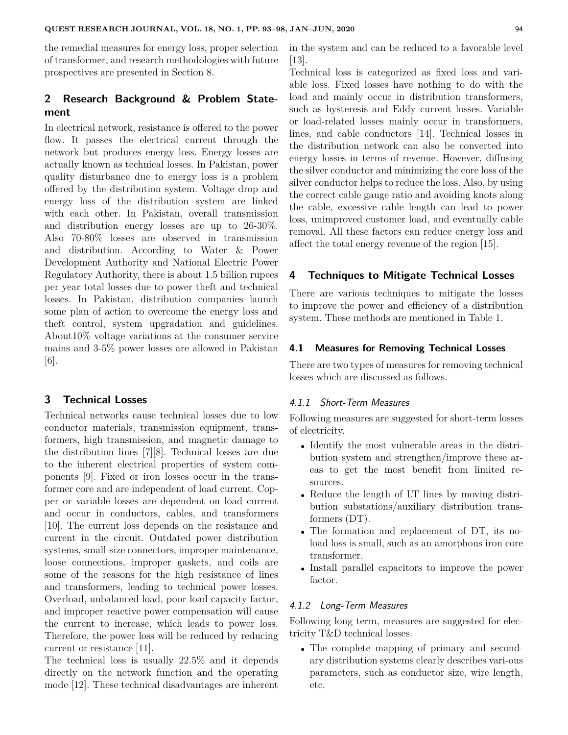the remedial measures for energy loss, proper selection of transformer, and research methodologies with future prospectives are presented in Section 8.

# **2 Research Background & Problem Statement**

In electrical network, resistance is offered to the power flow. It passes the electrical current through the network but produces energy loss. Energy losses are actually known as technical losses. In Pakistan, power quality disturbance due to energy loss is a problem offered by the distribution system. Voltage drop and energy loss of the distribution system are linked with each other. In Pakistan, overall transmission and distribution energy losses are up to 26-30%. Also 70-80% losses are observed in transmission and distribution. According to Water & Power Development Authority and National Electric Power Regulatory Authority, there is about 1.5 billion rupees per year total losses due to power theft and technical losses. In Pakistan, distribution companies launch some plan of action to overcome the energy loss and theft control, system upgradation and guidelines. About10% voltage variations at the consumer service mains and 3-5% power losses are allowed in Pakistan [6].

## **3 Technical Losses**

Technical networks cause technical losses due to low conductor materials, transmission equipment, transformers, high transmission, and magnetic damage to the distribution lines [7][8]. Technical losses are due to the inherent electrical properties of system components [9]. Fixed or iron losses occur in the transformer core and are independent of load current. Copper or variable losses are dependent on load current and occur in conductors, cables, and transformers [10]. The current loss depends on the resistance and current in the circuit. Outdated power distribution systems, small-size connectors, improper maintenance, loose connections, improper gaskets, and coils are some of the reasons for the high resistance of lines and transformers, leading to technical power losses. Overload, unbalanced load, poor load capacity factor, and improper reactive power compensation will cause the current to increase, which leads to power loss. Therefore, the power loss will be reduced by reducing current or resistance [11].

The technical loss is usually 22.5% and it depends directly on the network function and the operating mode [12]. These technical disadvantages are inherent in the system and can be reduced to a favorable level [13].

Technical loss is categorized as fixed loss and variable loss. Fixed losses have nothing to do with the load and mainly occur in distribution transformers, such as hysteresis and Eddy current losses. Variable or load-related losses mainly occur in transformers, lines, and cable conductors [14]. Technical losses in the distribution network can also be converted into energy losses in terms of revenue. However, diffusing the silver conductor and minimizing the core loss of the silver conductor helps to reduce the loss. Also, by using the correct cable gauge ratio and avoiding knots along the cable, excessive cable length can lead to power loss, unimproved customer load, and eventually cable removal. All these factors can reduce energy loss and affect the total energy revenue of the region [15].

## **4 Techniques to Mitigate Technical Losses**

There are various techniques to mitigate the losses to improve the power and efficiency of a distribution system. These methods are mentioned in Table 1.

#### **4.1 Measures for Removing Technical Losses**

There are two types of measures for removing technical losses which are discussed as follows.

#### 4.1.1 Short-Term Measures

Following measures are suggested for short-term losses of electricity.

- Identify the most vulnerable areas in the distribution system and strengthen/improve these areas to get the most benefit from limited resources.
- Reduce the length of LT lines by moving distribution substations/auxiliary distribution transformers (DT).
- The formation and replacement of DT, its noload loss is small, such as an amorphous iron core transformer.
- Install parallel capacitors to improve the power factor.

#### 4.1.2 Long-Term Measures

Following long term, measures are suggested for electricity T&D technical losses.

• The complete mapping of primary and secondary distribution systems clearly describes vari-ous parameters, such as conductor size, wire length, etc.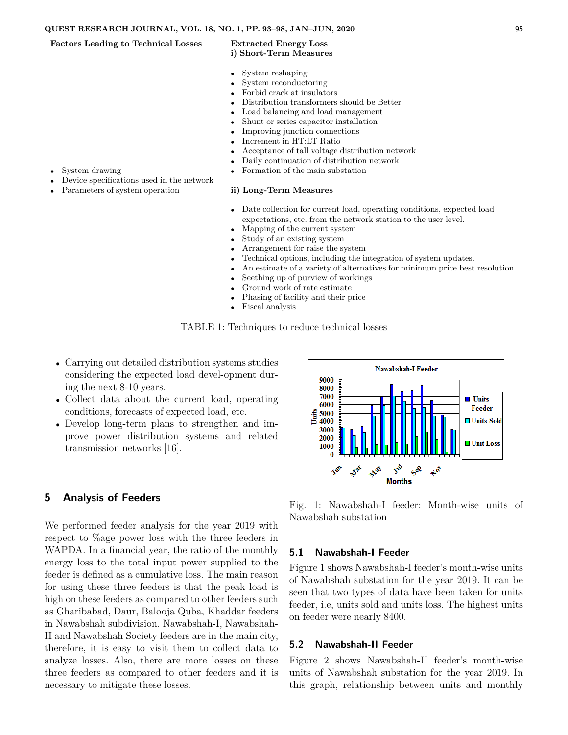| <b>Factors Leading to Technical Losses</b>                                                    | <b>Extracted Energy Loss</b>                                                                                                                                                                                                                                                                                                                                                                                                                                                                                                                                                                                                                                                                                                                                                                                                                                                                                                                                                                                                                     |
|-----------------------------------------------------------------------------------------------|--------------------------------------------------------------------------------------------------------------------------------------------------------------------------------------------------------------------------------------------------------------------------------------------------------------------------------------------------------------------------------------------------------------------------------------------------------------------------------------------------------------------------------------------------------------------------------------------------------------------------------------------------------------------------------------------------------------------------------------------------------------------------------------------------------------------------------------------------------------------------------------------------------------------------------------------------------------------------------------------------------------------------------------------------|
|                                                                                               |                                                                                                                                                                                                                                                                                                                                                                                                                                                                                                                                                                                                                                                                                                                                                                                                                                                                                                                                                                                                                                                  |
| System drawing<br>Device specifications used in the network<br>Parameters of system operation | i) Short-Term Measures<br>System reshaping<br>$\bullet$<br>System reconductoring<br>Forbid crack at insulators<br>Distribution transformers should be Better<br>Load balancing and load management<br>Shunt or series capacitor installation<br>Improving junction connections<br>Increment in HT:LT Ratio<br>Acceptance of tall voltage distribution network<br>Daily continuation of distribution network<br>Formation of the main substation<br>ii) Long-Term Measures<br>Date collection for current load, operating conditions, expected load<br>$\bullet$<br>expectations, etc. from the network station to the user level.<br>Mapping of the current system<br>$\bullet$<br>Study of an existing system<br>Arrangement for raise the system<br>Technical options, including the integration of system updates.<br>$\bullet$<br>An estimate of a variety of alternatives for minimum price best resolution<br>Seething up of purview of workings<br>Ground work of rate estimate<br>Phasing of facility and their price<br>Fiscal analysis |

TABLE 1: Techniques to reduce technical losses

- Carrying out detailed distribution systems studies considering the expected load devel-opment during the next 8-10 years.
- Collect data about the current load, operating conditions, forecasts of expected load, etc.
- Develop long-term plans to strengthen and improve power distribution systems and related transmission networks [16].

## **5 Analysis of Feeders**

We performed feeder analysis for the year 2019 with respect to %age power loss with the three feeders in WAPDA. In a financial year, the ratio of the monthly energy loss to the total input power supplied to the feeder is defined as a cumulative loss. The main reason for using these three feeders is that the peak load is high on these feeders as compared to other feeders such as Gharibabad, Daur, Balooja Quba, Khaddar feeders in Nawabshah subdivision. Nawabshah-I, Nawabshah-II and Nawabshah Society feeders are in the main city, therefore, it is easy to visit them to collect data to analyze losses. Also, there are more losses on these three feeders as compared to other feeders and it is necessary to mitigate these losses.

Nawabshah-I Feeder 9000 8000 7000 **Units** 6000 **Feeder** Units 5000 **□ Units Sold** 4000 3000 2000 **Unit Loss** 1000 Jab MA Max  $\Theta^{\text{R}}$ For **Months** 

Fig. 1: Nawabshah-I feeder: Month-wise units of Nawabshah substation

#### **5.1 Nawabshah-I Feeder**

Figure 1 shows Nawabshah-I feeder's month-wise units of Nawabshah substation for the year 2019. It can be seen that two types of data have been taken for units feeder, i.e, units sold and units loss. The highest units on feeder were nearly 8400.

#### **5.2 Nawabshah-II Feeder**

Figure 2 shows Nawabshah-II feeder's month-wise units of Nawabshah substation for the year 2019. In this graph, relationship between units and monthly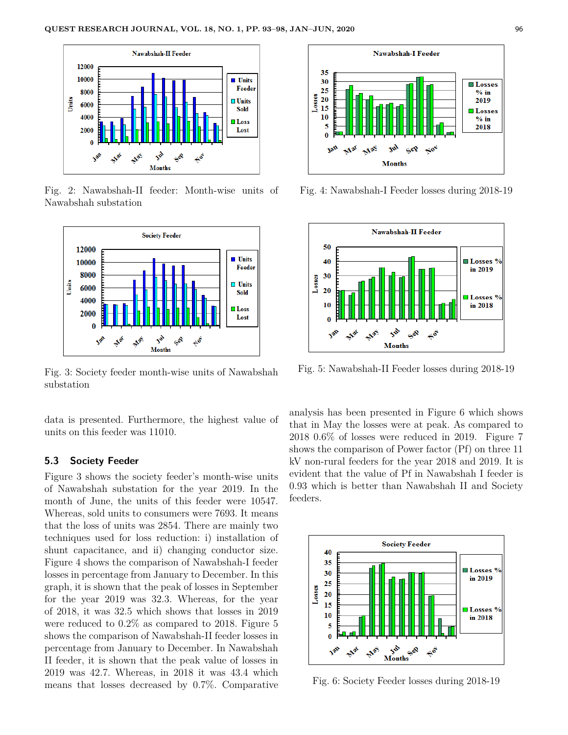

Fig. 2: Nawabshah-II feeder: Month-wise units of Nawabshah substation



Fig. 3: Society feeder month-wise units of Nawabshah substation

data is presented. Furthermore, the highest value of units on this feeder was 11010.

## **5.3 Society Feeder**

Figure 3 shows the society feeder's month-wise units of Nawabshah substation for the year 2019. In the month of June, the units of this feeder were 10547. Whereas, sold units to consumers were 7693. It means that the loss of units was 2854. There are mainly two techniques used for loss reduction: i) installation of shunt capacitance, and ii) changing conductor size. Figure 4 shows the comparison of Nawabshah-I feeder losses in percentage from January to December. In this graph, it is shown that the peak of losses in September for the year 2019 was 32.3. Whereas, for the year of 2018, it was 32.5 which shows that losses in 2019 were reduced to 0.2% as compared to 2018. Figure 5 shows the comparison of Nawabshah-II feeder losses in percentage from January to December. In Nawabshah II feeder, it is shown that the peak value of losses in 2019 was 42.7. Whereas, in 2018 it was 43.4 which means that losses decreased by 0.7%. Comparative



Fig. 4: Nawabshah-I Feeder losses during 2018-19



Fig. 5: Nawabshah-II Feeder losses during 2018-19

analysis has been presented in Figure 6 which shows that in May the losses were at peak. As compared to 2018 0.6% of losses were reduced in 2019. Figure 7 shows the comparison of Power factor (Pf) on three 11 kV non-rural feeders for the year 2018 and 2019. It is evident that the value of Pf in Nawabshah I feeder is 0.93 which is better than Nawabshah II and Society feeders.



Fig. 6: Society Feeder losses during 2018-19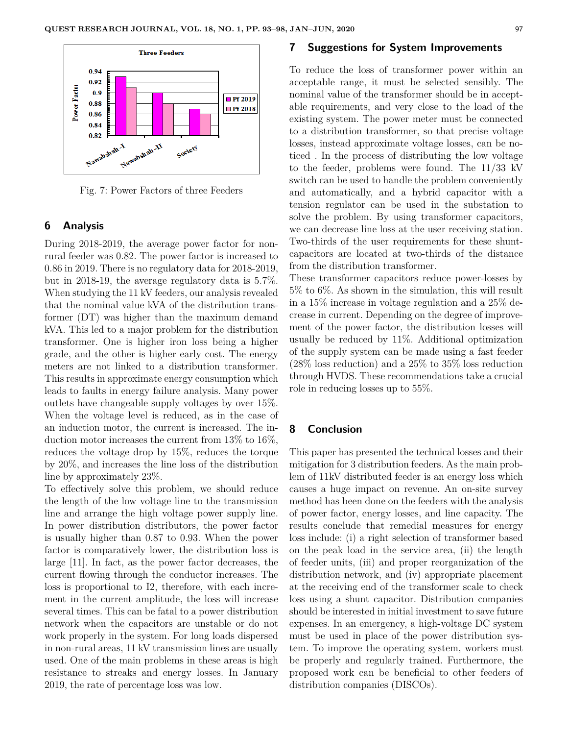

Fig. 7: Power Factors of three Feeders

### **6 Analysis**

During 2018-2019, the average power factor for nonrural feeder was 0.82. The power factor is increased to 0.86 in 2019. There is no regulatory data for 2018-2019, but in 2018-19, the average regulatory data is 5.7%. When studying the 11 kV feeders, our analysis revealed that the nominal value kVA of the distribution transformer (DT) was higher than the maximum demand kVA. This led to a major problem for the distribution transformer. One is higher iron loss being a higher grade, and the other is higher early cost. The energy meters are not linked to a distribution transformer. This results in approximate energy consumption which leads to faults in energy failure analysis. Many power outlets have changeable supply voltages by over 15%. When the voltage level is reduced, as in the case of an induction motor, the current is increased. The induction motor increases the current from 13% to 16%, reduces the voltage drop by 15%, reduces the torque by 20%, and increases the line loss of the distribution line by approximately 23%.

To effectively solve this problem, we should reduce the length of the low voltage line to the transmission line and arrange the high voltage power supply line. In power distribution distributors, the power factor is usually higher than 0.87 to 0.93. When the power factor is comparatively lower, the distribution loss is large [11]. In fact, as the power factor decreases, the current flowing through the conductor increases. The loss is proportional to I2, therefore, with each increment in the current amplitude, the loss will increase several times. This can be fatal to a power distribution network when the capacitors are unstable or do not work properly in the system. For long loads dispersed in non-rural areas, 11 kV transmission lines are usually used. One of the main problems in these areas is high resistance to streaks and energy losses. In January 2019, the rate of percentage loss was low.

#### **7 Suggestions for System Improvements**

To reduce the loss of transformer power within an acceptable range, it must be selected sensibly. The nominal value of the transformer should be in acceptable requirements, and very close to the load of the existing system. The power meter must be connected to a distribution transformer, so that precise voltage losses, instead approximate voltage losses, can be noticed . In the process of distributing the low voltage to the feeder, problems were found. The 11/33 kV switch can be used to handle the problem conveniently and automatically, and a hybrid capacitor with a tension regulator can be used in the substation to solve the problem. By using transformer capacitors, we can decrease line loss at the user receiving station. Two-thirds of the user requirements for these shuntcapacitors are located at two-thirds of the distance from the distribution transformer.

These transformer capacitors reduce power-losses by 5% to 6%. As shown in the simulation, this will result in a 15% increase in voltage regulation and a 25% decrease in current. Depending on the degree of improvement of the power factor, the distribution losses will usually be reduced by 11%. Additional optimization of the supply system can be made using a fast feeder (28% loss reduction) and a 25% to 35% loss reduction through HVDS. These recommendations take a crucial role in reducing losses up to 55%.

## **8 Conclusion**

This paper has presented the technical losses and their mitigation for 3 distribution feeders. As the main problem of 11kV distributed feeder is an energy loss which causes a huge impact on revenue. An on-site survey method has been done on the feeders with the analysis of power factor, energy losses, and line capacity. The results conclude that remedial measures for energy loss include: (i) a right selection of transformer based on the peak load in the service area, (ii) the length of feeder units, (iii) and proper reorganization of the distribution network, and (iv) appropriate placement at the receiving end of the transformer scale to check loss using a shunt capacitor. Distribution companies should be interested in initial investment to save future expenses. In an emergency, a high-voltage DC system must be used in place of the power distribution system. To improve the operating system, workers must be properly and regularly trained. Furthermore, the proposed work can be beneficial to other feeders of distribution companies (DISCOs).